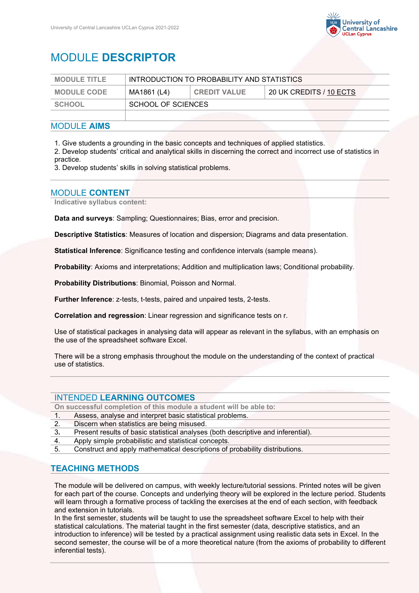

# MODULE **DESCRIPTOR**

| <b>MODULE TITLE</b> | INTRODUCTION TO PROBABILITY AND STATISTICS |                     |                         |
|---------------------|--------------------------------------------|---------------------|-------------------------|
| <b>MODULE CODE</b>  | MA1861 (L4)                                | <b>CREDIT VALUE</b> | 20 UK CREDITS / 10 ECTS |
| SCHOOL              | SCHOOL OF SCIENCES                         |                     |                         |
|                     |                                            |                     |                         |

#### MODULE **AIMS**

1. Give students a grounding in the basic concepts and techniques of applied statistics.

2. Develop students' critical and analytical skills in discerning the correct and incorrect use of statistics in practice.

3. Develop students' skills in solving statistical problems.

### MODULE **CONTENT**

**Indicative syllabus content:**

**Data and surveys**: Sampling; Questionnaires; Bias, error and precision.

**Descriptive Statistics**: Measures of location and dispersion; Diagrams and data presentation.

**Statistical Inference**: Significance testing and confidence intervals (sample means).

**Probability**: Axioms and interpretations; Addition and multiplication laws; Conditional probability.

**Probability Distributions**: Binomial, Poisson and Normal.

**Further Inference**: z-tests, t-tests, paired and unpaired tests, 2-tests.

**Correlation and regression**: Linear regression and significance tests on r.

Use of statistical packages in analysing data will appear as relevant in the syllabus, with an emphasis on the use of the spreadsheet software Excel.

There will be a strong emphasis throughout the module on the understanding of the context of practical use of statistics.

#### INTENDED **LEARNING OUTCOMES**

**On successful completion of this module a student will be able to:**

1. Assess, analyse and interpret basic statistical problems.

- 2. Discern when statistics are being misused.
- 3**.** Present results of basic statistical analyses (both descriptive and inferential).
- 4. Apply simple probabilistic and statistical concepts.
- 5. Construct and apply mathematical descriptions of probability distributions.

#### **TEACHING METHODS**

The module will be delivered on campus, with weekly lecture/tutorial sessions. Printed notes will be given for each part of the course. Concepts and underlying theory will be explored in the lecture period. Students will learn through a formative process of tackling the exercises at the end of each section, with feedback and extension in tutorials.

In the first semester, students will be taught to use the spreadsheet software Excel to help with their statistical calculations. The material taught in the first semester (data, descriptive statistics, and an introduction to inference) will be tested by a practical assignment using realistic data sets in Excel. In the second semester, the course will be of a more theoretical nature (from the axioms of probability to different inferential tests).